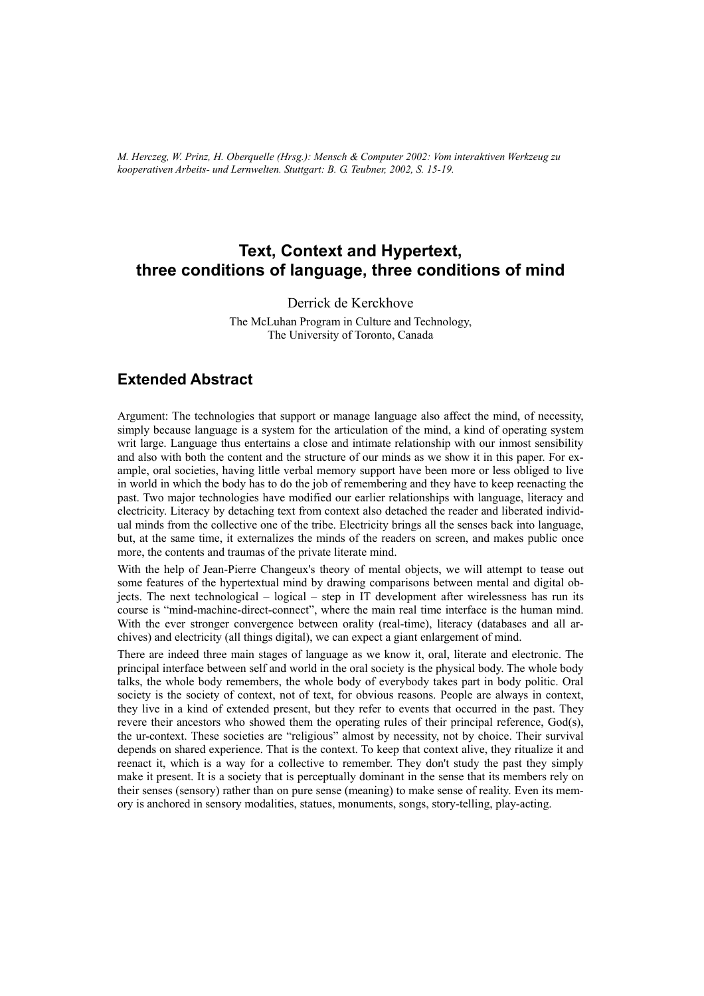*M. Herczeg, W. Prinz, H. Oberquelle (Hrsg.): Mensch & Computer 2002: Vom interaktiven Werkzeug zu kooperativen Arbeits- und Lernwelten. Stuttgart: B. G. Teubner, 2002, S. 15-19.* 

## **Text, Context and Hypertext, three conditions of language, three conditions of mind**

Derrick de Kerckhove

The McLuhan Program in Culture and Technology, The University of Toronto, Canada

## **Extended Abstract**

Argument: The technologies that support or manage language also affect the mind, of necessity, simply because language is a system for the articulation of the mind, a kind of operating system writ large. Language thus entertains a close and intimate relationship with our inmost sensibility and also with both the content and the structure of our minds as we show it in this paper. For example, oral societies, having little verbal memory support have been more or less obliged to live in world in which the body has to do the job of remembering and they have to keep reenacting the past. Two major technologies have modified our earlier relationships with language, literacy and electricity. Literacy by detaching text from context also detached the reader and liberated individual minds from the collective one of the tribe. Electricity brings all the senses back into language, but, at the same time, it externalizes the minds of the readers on screen, and makes public once more, the contents and traumas of the private literate mind.

With the help of Jean-Pierre Changeux's theory of mental objects, we will attempt to tease out some features of the hypertextual mind by drawing comparisons between mental and digital objects. The next technological – logical – step in IT development after wirelessness has run its course is "mind-machine-direct-connect", where the main real time interface is the human mind. With the ever stronger convergence between orality (real-time), literacy (databases and all archives) and electricity (all things digital), we can expect a giant enlargement of mind.

There are indeed three main stages of language as we know it, oral, literate and electronic. The principal interface between self and world in the oral society is the physical body. The whole body talks, the whole body remembers, the whole body of everybody takes part in body politic. Oral society is the society of context, not of text, for obvious reasons. People are always in context, they live in a kind of extended present, but they refer to events that occurred in the past. They revere their ancestors who showed them the operating rules of their principal reference, God(s), the ur-context. These societies are "religious" almost by necessity, not by choice. Their survival depends on shared experience. That is the context. To keep that context alive, they ritualize it and reenact it, which is a way for a collective to remember. They don't study the past they simply make it present. It is a society that is perceptually dominant in the sense that its members rely on their senses (sensory) rather than on pure sense (meaning) to make sense of reality. Even its memory is anchored in sensory modalities, statues, monuments, songs, story-telling, play-acting.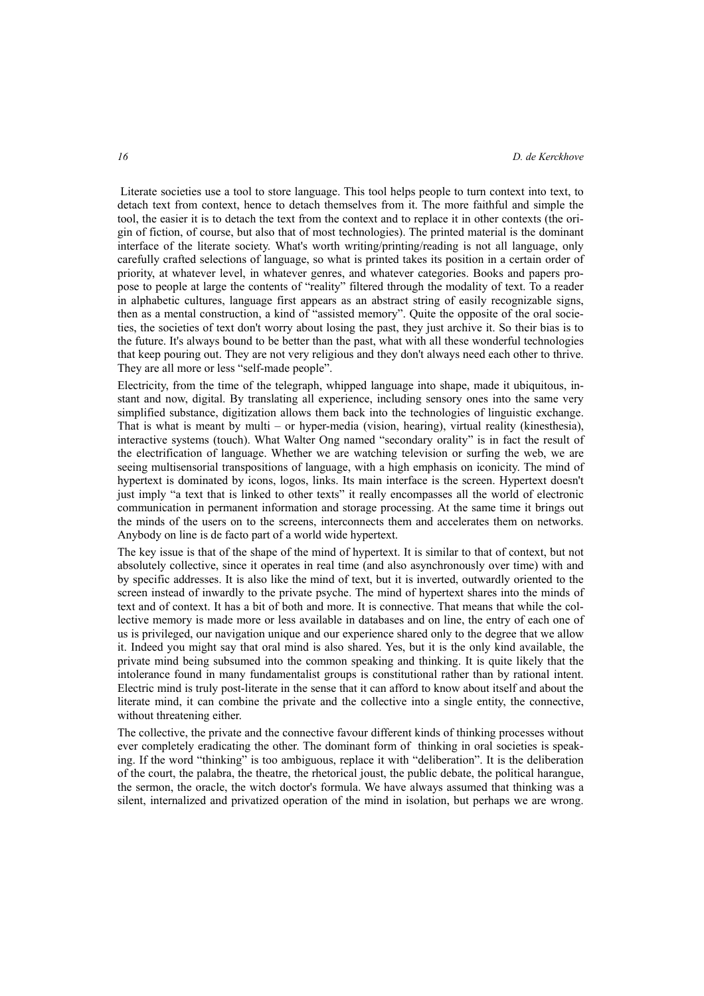Literate societies use a tool to store language. This tool helps people to turn context into text, to detach text from context, hence to detach themselves from it. The more faithful and simple the tool, the easier it is to detach the text from the context and to replace it in other contexts (the origin of fiction, of course, but also that of most technologies). The printed material is the dominant interface of the literate society. What's worth writing/printing/reading is not all language, only carefully crafted selections of language, so what is printed takes its position in a certain order of priority, at whatever level, in whatever genres, and whatever categories. Books and papers propose to people at large the contents of "reality" filtered through the modality of text. To a reader in alphabetic cultures, language first appears as an abstract string of easily recognizable signs, then as a mental construction, a kind of "assisted memory". Quite the opposite of the oral societies, the societies of text don't worry about losing the past, they just archive it. So their bias is to the future. It's always bound to be better than the past, what with all these wonderful technologies that keep pouring out. They are not very religious and they don't always need each other to thrive. They are all more or less "self-made people".

Electricity, from the time of the telegraph, whipped language into shape, made it ubiquitous, instant and now, digital. By translating all experience, including sensory ones into the same very simplified substance, digitization allows them back into the technologies of linguistic exchange. That is what is meant by multi – or hyper-media (vision, hearing), virtual reality (kinesthesia), interactive systems (touch). What Walter Ong named "secondary orality" is in fact the result of the electrification of language. Whether we are watching television or surfing the web, we are seeing multisensorial transpositions of language, with a high emphasis on iconicity. The mind of hypertext is dominated by icons, logos, links. Its main interface is the screen. Hypertext doesn't just imply "a text that is linked to other texts" it really encompasses all the world of electronic communication in permanent information and storage processing. At the same time it brings out the minds of the users on to the screens, interconnects them and accelerates them on networks. Anybody on line is de facto part of a world wide hypertext.

The key issue is that of the shape of the mind of hypertext. It is similar to that of context, but not absolutely collective, since it operates in real time (and also asynchronously over time) with and by specific addresses. It is also like the mind of text, but it is inverted, outwardly oriented to the screen instead of inwardly to the private psyche. The mind of hypertext shares into the minds of text and of context. It has a bit of both and more. It is connective. That means that while the collective memory is made more or less available in databases and on line, the entry of each one of us is privileged, our navigation unique and our experience shared only to the degree that we allow it. Indeed you might say that oral mind is also shared. Yes, but it is the only kind available, the private mind being subsumed into the common speaking and thinking. It is quite likely that the intolerance found in many fundamentalist groups is constitutional rather than by rational intent. Electric mind is truly post-literate in the sense that it can afford to know about itself and about the literate mind, it can combine the private and the collective into a single entity, the connective, without threatening either.

The collective, the private and the connective favour different kinds of thinking processes without ever completely eradicating the other. The dominant form of thinking in oral societies is speaking. If the word "thinking" is too ambiguous, replace it with "deliberation". It is the deliberation of the court, the palabra, the theatre, the rhetorical joust, the public debate, the political harangue, the sermon, the oracle, the witch doctor's formula. We have always assumed that thinking was a silent, internalized and privatized operation of the mind in isolation, but perhaps we are wrong.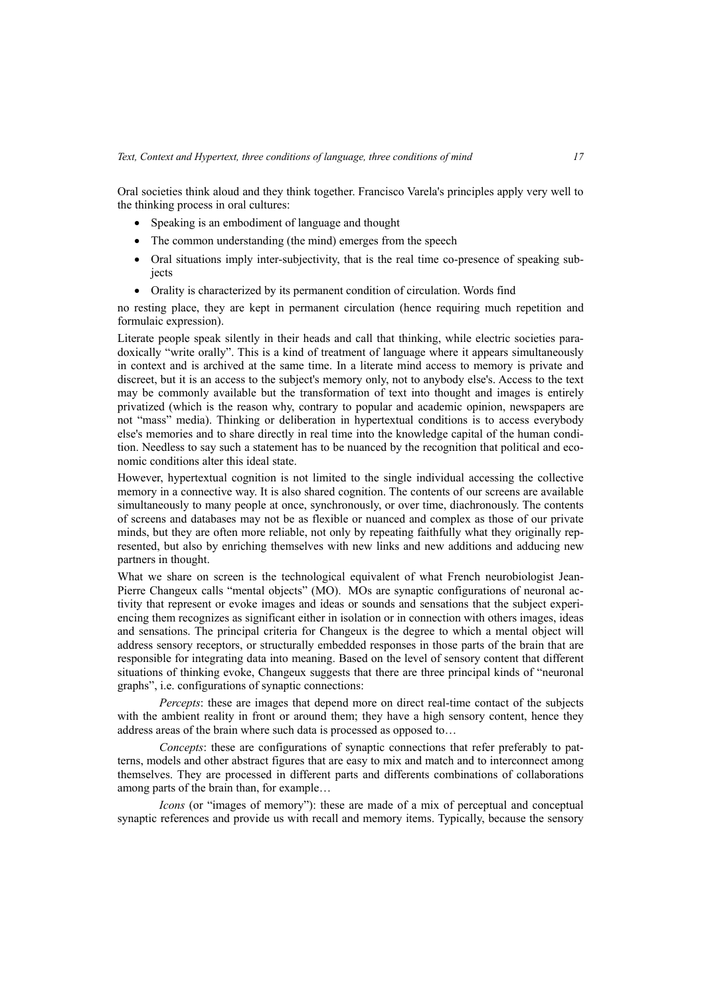Oral societies think aloud and they think together. Francisco Varela's principles apply very well to the thinking process in oral cultures:

- Speaking is an embodiment of language and thought
- The common understanding (the mind) emerges from the speech
- Oral situations imply inter-subjectivity, that is the real time co-presence of speaking subjects
- Orality is characterized by its permanent condition of circulation. Words find

no resting place, they are kept in permanent circulation (hence requiring much repetition and formulaic expression).

Literate people speak silently in their heads and call that thinking, while electric societies paradoxically "write orally". This is a kind of treatment of language where it appears simultaneously in context and is archived at the same time. In a literate mind access to memory is private and discreet, but it is an access to the subject's memory only, not to anybody else's. Access to the text may be commonly available but the transformation of text into thought and images is entirely privatized (which is the reason why, contrary to popular and academic opinion, newspapers are not "mass" media). Thinking or deliberation in hypertextual conditions is to access everybody else's memories and to share directly in real time into the knowledge capital of the human condition. Needless to say such a statement has to be nuanced by the recognition that political and economic conditions alter this ideal state.

However, hypertextual cognition is not limited to the single individual accessing the collective memory in a connective way. It is also shared cognition. The contents of our screens are available simultaneously to many people at once, synchronously, or over time, diachronously. The contents of screens and databases may not be as flexible or nuanced and complex as those of our private minds, but they are often more reliable, not only by repeating faithfully what they originally represented, but also by enriching themselves with new links and new additions and adducing new partners in thought.

What we share on screen is the technological equivalent of what French neurobiologist Jean-Pierre Changeux calls "mental objects" (MO). MOs are synaptic configurations of neuronal activity that represent or evoke images and ideas or sounds and sensations that the subject experiencing them recognizes as significant either in isolation or in connection with others images, ideas and sensations. The principal criteria for Changeux is the degree to which a mental object will address sensory receptors, or structurally embedded responses in those parts of the brain that are responsible for integrating data into meaning. Based on the level of sensory content that different situations of thinking evoke, Changeux suggests that there are three principal kinds of "neuronal graphs", i.e. configurations of synaptic connections:

*Percepts*: these are images that depend more on direct real-time contact of the subjects with the ambient reality in front or around them; they have a high sensory content, hence they address areas of the brain where such data is processed as opposed to…

*Concepts*: these are configurations of synaptic connections that refer preferably to patterns, models and other abstract figures that are easy to mix and match and to interconnect among themselves. They are processed in different parts and differents combinations of collaborations among parts of the brain than, for example…

*Icons* (or "images of memory"): these are made of a mix of perceptual and conceptual synaptic references and provide us with recall and memory items. Typically, because the sensory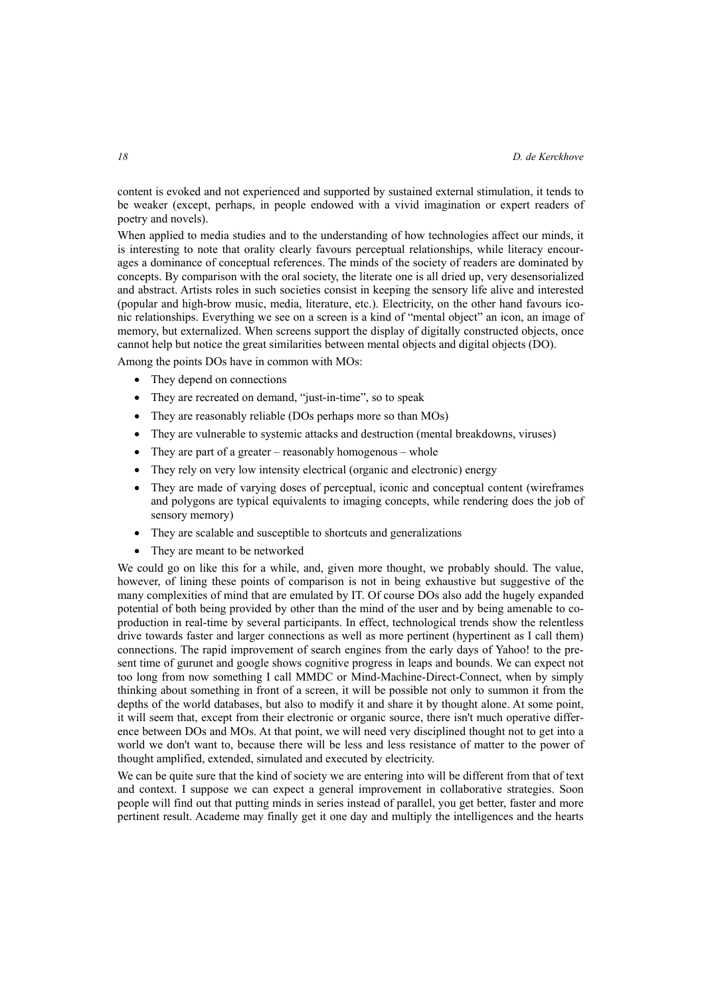content is evoked and not experienced and supported by sustained external stimulation, it tends to be weaker (except, perhaps, in people endowed with a vivid imagination or expert readers of poetry and novels).

When applied to media studies and to the understanding of how technologies affect our minds, it is interesting to note that orality clearly favours perceptual relationships, while literacy encourages a dominance of conceptual references. The minds of the society of readers are dominated by concepts. By comparison with the oral society, the literate one is all dried up, very desensorialized and abstract. Artists roles in such societies consist in keeping the sensory life alive and interested (popular and high-brow music, media, literature, etc.). Electricity, on the other hand favours iconic relationships. Everything we see on a screen is a kind of "mental object" an icon, an image of memory, but externalized. When screens support the display of digitally constructed objects, once cannot help but notice the great similarities between mental objects and digital objects (DO).

Among the points DOs have in common with MOs:

- They depend on connections
- They are recreated on demand, "just-in-time", so to speak
- They are reasonably reliable (DOs perhaps more so than MOs)
- They are vulnerable to systemic attacks and destruction (mental breakdowns, viruses)
- They are part of a greater reasonably homogenous whole
- They rely on very low intensity electrical (organic and electronic) energy
- They are made of varying doses of perceptual, iconic and conceptual content (wireframes and polygons are typical equivalents to imaging concepts, while rendering does the job of sensory memory)
- They are scalable and susceptible to shortcuts and generalizations
- They are meant to be networked

We could go on like this for a while, and, given more thought, we probably should. The value, however, of lining these points of comparison is not in being exhaustive but suggestive of the many complexities of mind that are emulated by IT. Of course DOs also add the hugely expanded potential of both being provided by other than the mind of the user and by being amenable to coproduction in real-time by several participants. In effect, technological trends show the relentless drive towards faster and larger connections as well as more pertinent (hypertinent as I call them) connections. The rapid improvement of search engines from the early days of Yahoo! to the present time of gurunet and google shows cognitive progress in leaps and bounds. We can expect not too long from now something I call MMDC or Mind-Machine-Direct-Connect, when by simply thinking about something in front of a screen, it will be possible not only to summon it from the depths of the world databases, but also to modify it and share it by thought alone. At some point, it will seem that, except from their electronic or organic source, there isn't much operative difference between DOs and MOs. At that point, we will need very disciplined thought not to get into a world we don't want to, because there will be less and less resistance of matter to the power of thought amplified, extended, simulated and executed by electricity.

We can be quite sure that the kind of society we are entering into will be different from that of text and context. I suppose we can expect a general improvement in collaborative strategies. Soon people will find out that putting minds in series instead of parallel, you get better, faster and more pertinent result. Academe may finally get it one day and multiply the intelligences and the hearts